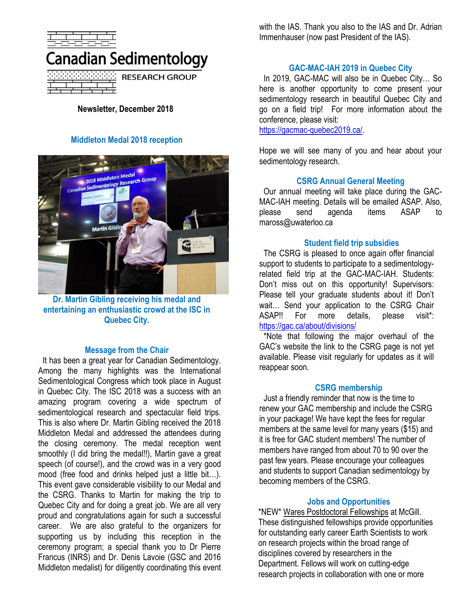

**RESEARCH GROUP** 

**Newsletter, December 2018**

# **Middleton Medal 2018 reception**



**Dr. Martin Gibling receiving his medal and entertaining an enthusiastic crowd at the ISC in Quebec City.**

#### **Message from the Chair**

It has been a great year for Canadian Sedimentology. Among the many highlights was the International Sedimentological Congress which took place in August in Quebec City. The ISC 2018 was a success with an amazing program covering a wide spectrum of sedimentological research and spectacular field trips. This is also where Dr. Martin Gibling received the 2018 Middleton Medal and addressed the attendees during the closing ceremony. The medal reception went smoothly (I did bring the medal!!), Martin gave a great speech (of course!), and the crowd was in a very good mood (free food and drinks helped just a little bit…). This event gave considerable visibility to our Medal and the CSRG. Thanks to Martin for making the trip to Quebec City and for doing a great job. We are all very proud and congratulations again for such a successful career. We are also grateful to the organizers for supporting us by including this reception in the ceremony program; a special thank you to Dr Pierre Francus (INRS) and Dr. Denis Lavoie (GSC and 2016 Middleton medalist) for diligently coordinating this event

with the IAS. Thank you also to the IAS and Dr. Adrian Immenhauser (now past President of the IAS).

# **GAC-MAC-IAH 2019 in Quebec City**

In 2019, GAC-MAC will also be in Quebec City… So here is another opportunity to come present your sedimentology research in beautiful Quebec City and go on a field trip! For more information about the conference, please visit:

[https://gacmac-quebec2019.ca/.](https://gacmac-quebec2019.ca/)

Hope we will see many of you and hear about your sedimentology research.

### **CSRG Annual General Meeting**

Our annual meeting will take place during the GAC-MAC-IAH meeting. Details will be emailed ASAP. Also, please send agenda items ASAP to maross@uwaterloo.ca

#### **Student field trip subsidies**

The CSRG is pleased to once again offer financial support to students to participate to a sedimentologyrelated field trip at the GAC-MAC-IAH. Students: Don't miss out on this opportunity! Supervisors: Please tell your graduate students about it! Don't wait… Send your application to the CSRG Chair ASAP!! For more details, please visit\*: <https://gac.ca/about/divisions/>

\*Note that following the major overhaul of the GAC's website the link to the CSRG page is not yet available. Please visit regularly for updates as it will reappear soon.

#### **CSRG membership**

Just a friendly reminder that now is the time to renew your GAC membership and include the CSRG in your package! We have kept the fees for regular members at the same level for many years (\$15) and it is free for GAC student members! The number of members have ranged from about 70 to 90 over the past few years. Please encourage your colleagues and students to support Canadian sedimentology by becoming members of the CSRG.

#### **Jobs and Opportunities**

\*NEW\* Wares Postdoctoral Fellowships at McGill. These distinguished fellowships provide opportunities for outstanding early career Earth Scientists to work on research projects within the broad range of disciplines covered by researchers in the Department. Fellows will work on cutting-edge research projects in collaboration with one or more